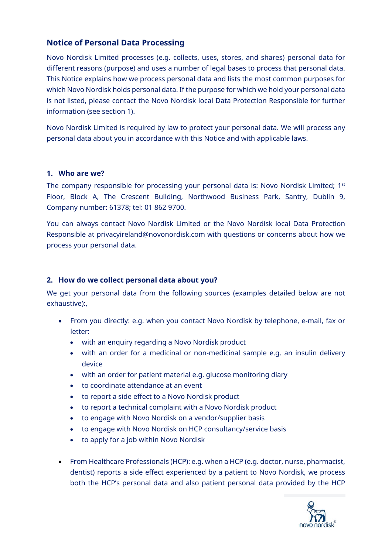# **Notice of Personal Data Processing**

Novo Nordisk Limited processes (e.g. collects, uses, stores, and shares) personal data for different reasons (purpose) and uses a number of legal bases to process that personal data. This Notice explains how we process personal data and lists the most common purposes for which Novo Nordisk holds personal data. If the purpose for which we hold your personal data is not listed, please contact the Novo Nordisk local Data Protection Responsible for further information (see section 1).

Novo Nordisk Limited is required by law to protect your personal data. We will process any personal data about you in accordance with this Notice and with applicable laws.

#### **1. Who are we?**

The company responsible for processing your personal data is: Novo Nordisk Limited;  $1^{st}$ Floor, Block A, The Crescent Building, Northwood Business Park, Santry, Dublin 9, Company number: 61378; tel: 01 862 9700.

You can always contact Novo Nordisk Limited or the Novo Nordisk local Data Protection Responsible at privacyireland@novonordisk.com with questions or concerns about how we process your personal data.

#### **2. How do we collect personal data about you?**

We get your personal data from the following sources (examples detailed below are not exhaustive):,

- From you directly: e.g. when you contact Novo Nordisk by telephone, e-mail, fax or letter:
	- with an enquiry regarding a Novo Nordisk product
	- with an order for a medicinal or non-medicinal sample e.g. an insulin delivery device
	- with an order for patient material e.g. glucose monitoring diary
	- to coordinate attendance at an event
	- to report a side effect to a Novo Nordisk product
	- to report a technical complaint with a Novo Nordisk product
	- to engage with Novo Nordisk on a vendor/supplier basis
	- to engage with Novo Nordisk on HCP consultancy/service basis
	- to apply for a job within Novo Nordisk
- From Healthcare Professionals (HCP): e.g. when a HCP (e.g. doctor, nurse, pharmacist, dentist) reports a side effect experienced by a patient to Novo Nordisk, we process both the HCP's personal data and also patient personal data provided by the HCP

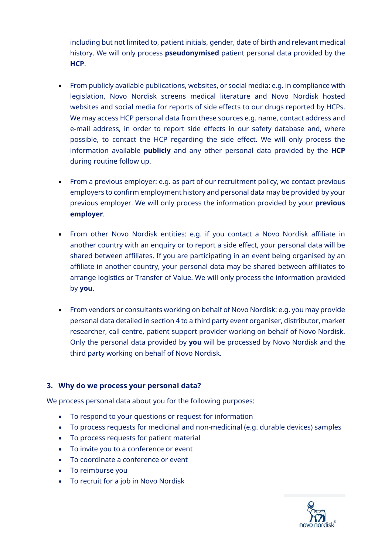including but not limited to, patient initials, gender, date of birth and relevant medical history. We will only process **pseudonymised** patient personal data provided by the **HCP**.

- From publicly available publications, websites, or social media: e.g. in compliance with legislation, Novo Nordisk screens medical literature and Novo Nordisk hosted websites and social media for reports of side effects to our drugs reported by HCPs. We may access HCP personal data from these sources e.g. name, contact address and e-mail address, in order to report side effects in our safety database and, where possible, to contact the HCP regarding the side effect. We will only process the information available **publicly** and any other personal data provided by the **HCP**  during routine follow up.
- From a previous employer: e.g. as part of our recruitment policy, we contact previous employers to confirm employment history and personal data may be provided by your previous employer. We will only process the information provided by your **previous employer**.
- From other Novo Nordisk entities: e.g. if you contact a Novo Nordisk affiliate in another country with an enquiry or to report a side effect, your personal data will be shared between affiliates. If you are participating in an event being organised by an affiliate in another country, your personal data may be shared between affiliates to arrange logistics or Transfer of Value. We will only process the information provided by **you**.
- From vendors or consultants working on behalf of Novo Nordisk: e.g. you may provide personal data detailed in section 4 to a third party event organiser, distributor, market researcher, call centre, patient support provider working on behalf of Novo Nordisk. Only the personal data provided by **you** will be processed by Novo Nordisk and the third party working on behalf of Novo Nordisk.

# **3. Why do we process your personal data?**

We process personal data about you for the following purposes:

- To respond to your questions or request for information
- To process requests for medicinal and non-medicinal (e.g. durable devices) samples
- To process requests for patient material
- To invite you to a conference or event
- To coordinate a conference or event
- To reimburse you
- To recruit for a job in Novo Nordisk

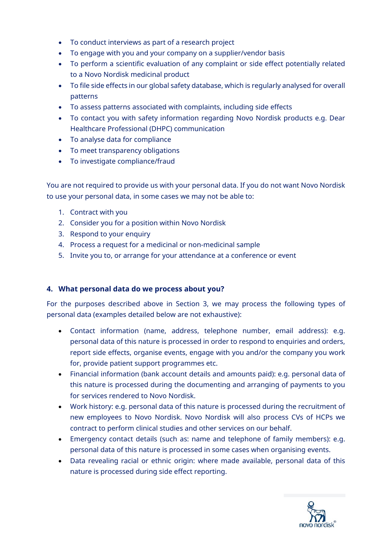- To conduct interviews as part of a research project
- To engage with you and your company on a supplier/vendor basis
- To perform a scientific evaluation of any complaint or side effect potentially related to a Novo Nordisk medicinal product
- To file side effects in our global safety database, which is regularly analysed for overall patterns
- To assess patterns associated with complaints, including side effects
- To contact you with safety information regarding Novo Nordisk products e.g. Dear Healthcare Professional (DHPC) communication
- To analyse data for compliance
- To meet transparency obligations
- To investigate compliance/fraud

You are not required to provide us with your personal data. If you do not want Novo Nordisk to use your personal data, in some cases we may not be able to:

- 1. Contract with you
- 2. Consider you for a position within Novo Nordisk
- 3. Respond to your enquiry
- 4. Process a request for a medicinal or non-medicinal sample
- 5. Invite you to, or arrange for your attendance at a conference or event

#### **4. What personal data do we process about you?**

For the purposes described above in Section 3, we may process the following types of personal data (examples detailed below are not exhaustive):

- Contact information (name, address, telephone number, email address): e.g. personal data of this nature is processed in order to respond to enquiries and orders, report side effects, organise events, engage with you and/or the company you work for, provide patient support programmes etc.
- Financial information (bank account details and amounts paid): e.g. personal data of this nature is processed during the documenting and arranging of payments to you for services rendered to Novo Nordisk.
- Work history: e.g. personal data of this nature is processed during the recruitment of new employees to Novo Nordisk. Novo Nordisk will also process CVs of HCPs we contract to perform clinical studies and other services on our behalf.
- Emergency contact details (such as: name and telephone of family members): e.g. personal data of this nature is processed in some cases when organising events.
- Data revealing racial or ethnic origin: where made available, personal data of this nature is processed during side effect reporting.

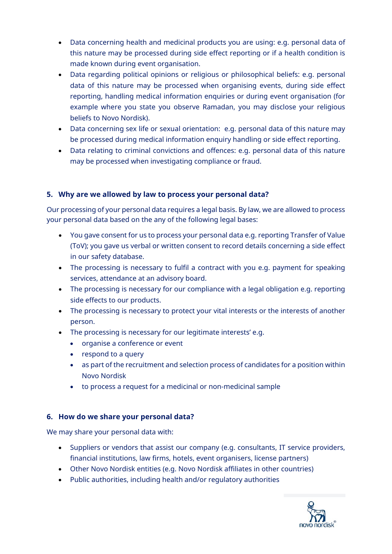- Data concerning health and medicinal products you are using: e.g. personal data of this nature may be processed during side effect reporting or if a health condition is made known during event organisation.
- Data regarding political opinions or religious or philosophical beliefs: e.g. personal data of this nature may be processed when organising events, during side effect reporting, handling medical information enquiries or during event organisation (for example where you state you observe Ramadan, you may disclose your religious beliefs to Novo Nordisk).
- Data concerning sex life or sexual orientation: e.g. personal data of this nature may be processed during medical information enquiry handling or side effect reporting.
- Data relating to criminal convictions and offences: e.g. personal data of this nature may be processed when investigating compliance or fraud.

# **5. Why are we allowed by law to process your personal data?**

Our processing of your personal data requires a legal basis. By law, we are allowed to process your personal data based on the any of the following legal bases:

- You gave consent for us to process your personal data e.g. reporting Transfer of Value (ToV); you gave us verbal or written consent to record details concerning a side effect in our safety database.
- The processing is necessary to fulfil a contract with you e.g. payment for speaking services, attendance at an advisory board.
- The processing is necessary for our compliance with a legal obligation e.g. reporting side effects to our products.
- The processing is necessary to protect your vital interests or the interests of another person.
- The processing is necessary for our legitimate interests' e.g.
	- organise a conference or event
	- respond to a query
	- as part of the recruitment and selection process of candidates for a position within Novo Nordisk
	- to process a request for a medicinal or non-medicinal sample

# **6. How do we share your personal data?**

We may share your personal data with:

- Suppliers or vendors that assist our company (e.g. consultants, IT service providers, financial institutions, law firms, hotels, event organisers, license partners)
- Other Novo Nordisk entities (e.g. Novo Nordisk affiliates in other countries)
- Public authorities, including health and/or regulatory authorities

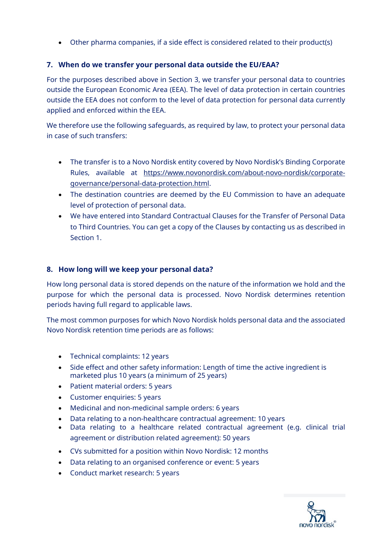Other pharma companies, if a side effect is considered related to their product(s)

#### **7. When do we transfer your personal data outside the EU/EAA?**

For the purposes described above in Section 3, we transfer your personal data to countries outside the European Economic Area (EEA). The level of data protection in certain countries outside the EEA does not conform to the level of data protection for personal data currently applied and enforced within the EEA.

We therefore use the following safeguards, as required by law, to protect your personal data in case of such transfers:

- The transfer is to a Novo Nordisk entity covered by Novo Nordisk's Binding Corporate Rules, available at https://www.novonordisk.com/about-novo-nordisk/corporategovernance/personal-data-protection.html.
- The destination countries are deemed by the EU Commission to have an adequate level of protection of personal data.
- We have entered into Standard Contractual Clauses for the Transfer of Personal Data to Third Countries. You can get a copy of the Clauses by contacting us as described in Section 1.

#### **8. How long will we keep your personal data?**

How long personal data is stored depends on the nature of the information we hold and the purpose for which the personal data is processed. Novo Nordisk determines retention periods having full regard to applicable laws.

The most common purposes for which Novo Nordisk holds personal data and the associated Novo Nordisk retention time periods are as follows:

- Technical complaints: 12 years
- Side effect and other safety information: Length of time the active ingredient is marketed plus 10 years (a minimum of 25 years)
- Patient material orders: 5 years
- Customer enquiries: 5 years
- Medicinal and non-medicinal sample orders: 6 years
- Data relating to a non-healthcare contractual agreement: 10 years
- Data relating to a healthcare related contractual agreement (e.g. clinical trial agreement or distribution related agreement): 50 years
- CVs submitted for a position within Novo Nordisk: 12 months
- Data relating to an organised conference or event: 5 years
- Conduct market research: 5 years